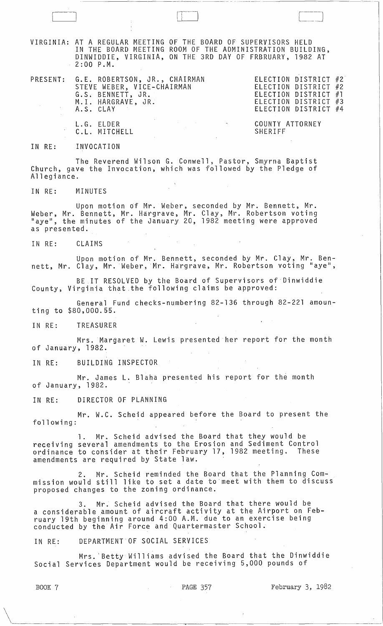VIRGINIA: AT A REGULAR MEETING OF THE BOARD OF SUPERVISORS HELD IN THE BOARD MEETING ROOM OF THE ADMINISTRATION BUILDING, DINWIDDIE, VIRGINIA, ON THE 3RD DAY OF FRBRUARY, 1982 AT 2:00 P.M.

PRESENT: G. E. ROBERTSON, JR., CHAIRMAN STEVE WEBER, VICE-CHAIRMAN G.S. BENNETT, JR. M.l. HARGRAVE, JR. A.S. CLAY

ELECTION DISTRICT #2 ELECTION DISTRICT #2 ELECTION DISTRICT #1 ELECTION DISTRICT #3 ELECTION DISTRICT #4

COUNTY ATTORNEY SHERIFF

#### IN RE: INVOCATION

L.G. ELDER C.L. MITCHELL

The Reverend Wilson G. Conwell, Pastor, Smyrna Baptist Church, gave the Invocation, which was followed by the Pledge of Allegiance.

IN RE: MINUTES

Upon motion of Mr. Weber, seconded by Mr. Bennett, Mr. Weber, Mr. Bennett, Mr. Hargrave, Mr. Clay, Mr. Robertson voting "aye", the minutes of the January 20, 1982 meeting were approved as presented.

IN RE: CLAIMS

Upon motion of Mr. Bennett, seconded by Mr. Clay, Mr. Bennett, Mr. Clay, Mr. Weber, Mr. Hargrave, Mr. Robertson voting "aye",

BE IT RESOLVED by the Board of Supervisors of Dinwiddie County, Virginia that.the following claims be approved:

General Fund checks-numbering 82-136 through 82-221 amounting to \$80,000.55.

IN RE: TREASURER

Mrs. Margaret W. Lewis presented her report for the month of January, 1982.

IN RE: BUILDING INSPECTOR

Mr. James L. Blaha presented his report for the month of January, 1982.

IN RE: DIRECTOR OF PLANNING

Mr. W.C. Scheid appeared before the Board to present the following:

1. Mr. Scheid advised the Board that they would be receiving several amendments to the Erosion and Sediment Control ordinance to consider at their February 17, 1982 meeting. These amendments are required by State law.

2. Mr. Scheid reminded the Board that the Planning Commission would still like to set a date to meet with them to discuss proposed changes to the zoning ordinance.

3. Mr. Scheid advised the Board that there would be a considerable .amount of aircraft activity at the Airport on February 19th beginning around 4:00 A.M. due to an exercise being conducted by the Air Force and Quartermaster School.

## IN RE: DEPARTMENT OF SOCIAL SERVICES

Mrs. 'Betty Williams advised the Board that the Dinwiddie Social Services Department would be receiving 5,000 pounds of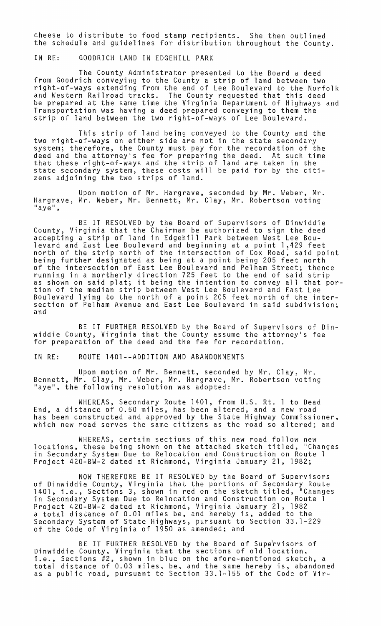cheese to distribute to food stamp recipients. She then outlined the schedule and guidelines for distribution throughout the County.

IN RE: GOODRICH LAND IN EDGEHILL PARK

The County Administrator presented to the Board a deed from Goodrich conveying to the County a strip of land between two right-of-ways extending from the end of Lee Boulevard to the Norfolk and Western Railroad tracks. The County requested that this deed be prepared at the same time the Virginia Department of Highways and Transportation was having a deed prepared conveying to them the strip of land between the two right-of-ways of Lee Boulevard.

This strip of land being conveyed to the County and the two right-of-ways on either side are not in the state secondary system; therefore, the County must pay for the recordation of the deed and the attorney's fee for preparing the deed. At such time that these right-of-ways and the strip of land are taken in the state secondary system, these costs will be paid for by the citizens adjoining the two strips of land.

Upon motion of Mr. Hargrave, seconded by Mr. Weber, Mr. Hargrave, Mr. Weber, Mr. Bennett, Mr. Clay, Mr. Robertson voting<br>"aye",

BE IT RESOLVED by the Board of Supervisors of Dinwiddie County, Virginia that the Chairman be authorized to sign the deed accepting a strip of land in Edgehill Park between West Lee Boulevard and East Lee Boulevard and beginning at a point 1,429 feet north of the strip north of the intersection of Cox Road; said point being further designated as being at a point being 205 feet north of the intersection of East Lee Boulevard and Pelham Street; thence running in a northerly direction 725 feet to the end of said strip running in a northerly ulrection 725 leet to the end of said strip<br>as shown on said plat; it being the intention to convey all that por-<br>tion of the median strip between West Lee Boulevard and East Lee Boulevard lying to the north of a point 205 feet north of the intersection of Pelham Avenue and East Lee Boulevard in said subdivision; and

BE IT FURTHER RESOLVED by the Board of Supervisors of Dinwiddie County, Virginia that the County assume the attorney's fee for preparation of the deed and the fee for recordation.

IN RE: ROUTE 1401--ADDITION AND ABANDONMENTS

Upon motion of Mr. Bennett, seconded by Mr. Clay, Mr. Bennett, Mr. Clay, Mr. Weber, Mr. Hargrave, Mr. Robertson voting "aye", the following resolution was adopted:

WHEREAS, Secondary Route 1401, from U.S. Rt. 1 to Dead End, a distance of 0.50 miles, has been altered, and a new road has been constructed and approved by the State Highway Commissioner, which new road serves the same citizens as the road so altered; and

WHEREAS, certain sections of this new road follow new locations, these being shown on the attached sketch titled, "Changes in Secondary System Due to Relocation and Construction on Route 1 Project 420-BW-2 dated at Richmond, Virginia January 21, 1982;

NOW THEREFORE BE IT RESOLVED by the Board of Supervisors of Dinwiddie County, Virginia that the portions of Secondary Route of brinwidate councy, virginia chac che por crons of secondary noute<br>1401, i.e., Sections 3, shown in red on the sketch titled, "Changes in Secondary System Due to Relocation and Construction on Route 1 Project 420-BW-2 dated at Richmond, Virginia January 21, 1982 a total distance of 0.01 miles be, and hereby is, added to the Secondary System of State Highways, pursuant to Section 33.1-229 of the Code of Virginia of 1950 as amended; and

BE IT FURTHER RESOLVED by the Board of Supervisors of Dinwiddie County, Virginia that the sections of old location, i.e., Sections #2, shown in blue on the afore-mentioned sketch, a total distance of 0.03 miles, be, and the same hereby is, abandoned as a public road, pursuant to Section 33.1-155 of the Code of Vir-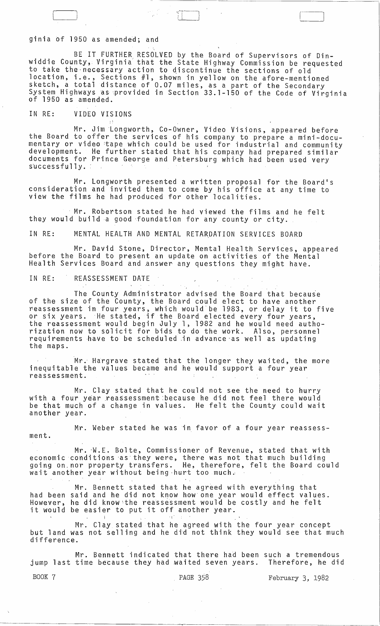### ginia of 1950 as amended; and

BE IT FURTHER RESOLVED by the Board of Supervisors of Dinwiddie County,- Virginia that the State Highway Commission be requested to take the necessary action to discontinue the sections of old location, i.e., Sections #1, shown in yellow on the afore-mentioned sketch, a total distance of 0.07 miles, as a part of the Secondary System Highways as provided in Section 33.1-150 of the Code of Virginia<br>of 1950 as amended.

 $\frac{1}{2}$  $\begin{pmatrix} 1 & 1 \\ 1 & 1 \end{pmatrix}$  $\mathbb{R}^+$ 

### IN RE: VIDEO VISIONS

Mr. Jim Longworth, Co-Owner, Video Visions, appeared before the Board to offer the services of his company to prepare a mini-documentary or video :tape which could be used for industrial and community development. He further stated that his company had prepared similar documents for Prince George and Petersburg which had been used very<br>s'uccessfully.

Mr. Longworth presented a written proposal for the Board's consideration and invited them to come by his office at any time to view the films he had produced for other localities.

Mr. Robertson stated he had viewed the films and he felt they would build a good ·foundatian for any county or city.

IN RE: MENTAL HEALTH AND MENTAL RETARDATION SERVICES BOARD

Mr. David Stone, Director, Mental Health Services, appeared before the Board to present an update on activities of the Mental Health Services Board and answer any questions they might have.

#### IN RE: REASSESSMENT DATE

The County Administrator advised the Board that because of the size of the County, the Board could elect to have another reassessment in four years, which would'be 1983, or delay it to five or six years. He stated, if the Board elected every four years, the reassessment would begin July 1, 1982 and he would need authorization now to solicit for bids to do the work. Also, personnel requirements have to be scheduled in advance as well as updating<br>the maps.

Mr. Hargrave stated that the longer they waited, the more inequitable the values became and he would support a four year reassessment.

Mr. Clay stated that he could not see the need to hurry with a four year reassessment because he did not feel there would be that much of a change in values. He felt the County could wait another year.

Mr. Weber stated he was in favor of a four year reassessment.

Mr. ·W.E. Bolte, Commissioner of Revenue, stated that with economic conditions 'asthey were, there was not that much building going on,nor property transfers. He, therefore, felt the Board could wait another year without being ,hurt too much ..

Mr. Bennett stated that he agreed with everything that had been said and he did not know how one year would effect values. However, he did know:the reassessment would be costly and he felt it would be easier to put it off another year.

Mr. Clay stated that he agreed with the four year concept but land was not selling and he di'd not think they would see that much difference.

Mr. Bennett indicated that there had been such a tremendous jump last time because they had waited seven years. Therefore, he did

BOOK 7 **PAGE 358** February 3, 1982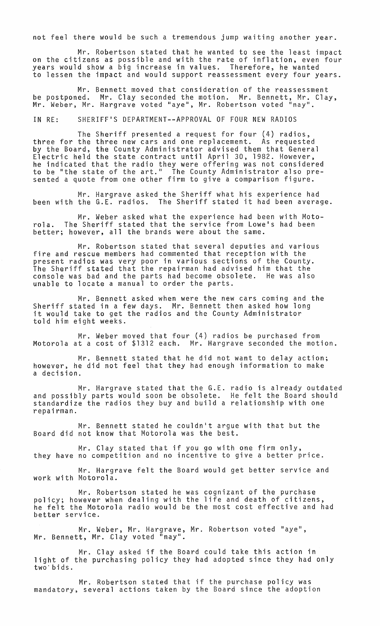not feel there would be such a tremendous jump waiting another year.

Mr. Robertson stated that he wanted to see the least impact on the citizens as possible and with the rate of inflation, even four years would show a big increase in values. Therefore, he wanted to lessen the impact and would support reassessment every four years.

Mr. Bennett moved that consideration of the reassessment be postponed. Mr. Clay seconded the motion. Mr. Bennett, Mr. Clay<mark>,</mark><br>Mr. Weber, Mr. Hargrave voted "aye", Mr. Robertson voted "nay".

IN RE: SHERIFF'S DEPARTMENT--APPROVAL OF FOUR NEW RADIOS

The Sheriff presented a request for four (4) radios, three for the three new cars and one replacement. As requested by the Board, the County Administrator advised them that General Electric held the state contract until April 30, 1982. However, he indicated that the radio they were offering was not considered to be "the state of the art." The County Administrator also presented a quote from one other firm to give a comparison figure.

Mr. Hargrave asked the Sheriff what his experience had been with the G.E. radios. The Sheriff stated it had been average.

Mr. Weber asked what the experience had been with Motorola. The Sheriff stated that the service from Lowe's had been better; however, all the brands were about the same.

Mr. Robertson stated that several deputies and various fire and rescue members had commented that reception with the present radios was very poor in various sections of the County. The Sheriff stated that the repairman had advised him that the console was bad and the parts had become obsolete. He was also unable to locate a manual to order the parts.

Mr. Bennett asked when were the new cars coming and the Sheriff stated in a few days. Mr. Bennett then asked how long it would take to get the radios and the County Administrator told him eight weeks.

Mr. Weber moved that four (4) radios be purchased from Motorola at a cost of \$1312 each. Mr. Hargrave seconded the motion.

Mr. Bennett stated that he did not want to delay action; however, he did not feel that they had enough information to make a decision.

Mr. Hargrave stated that the G.E. and possibly parts would soon be obsolete. standardize the radios they buy and build a repairman. radio is already outdated He felt the Board should relationship with one

Mr. Bennett stated he couldn't argue with that but the Board did not know that Motorola was the best.

Mr. Clay stated that if you go with one firm only,<br>they have no competition and no incentive to give a better price.

Mr. Hargrave felt the Board would get better service and work with Motorola.

Mr. Robertson stated he was cognizant of the purchase policy; however when dealing with the life and death of citizens, he felt the Motorola radio would be the most cost effective and had better service.

Mr. Weber, Mr. Hargrave, Mr. Robertson voted "aye", Mr. Bennett, Mr. Clay voted "nay".

Mr. Clay asked if the Board could take this action in light of the purchasing policy they had adopted since they had only two'bids.

Mr. Robertson stated that if the purchase policy was mandatory, several actions taken by the Board since the adoption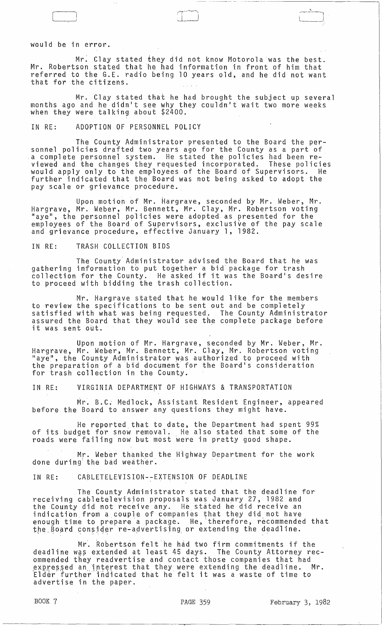#### would be in error.

Mr: Clay stated they did not know Motorola was the best. Mr. Robertson stated that he had information in front of him that referred to the G.E. radio being 10 years old, and he did not want that for the citizens.

أب مستوسسة المسامل  $\Box$ 

Mr. Clay stated that he had brought the subject up several months ago and he didn1t see why they couldn1t wait two more weeks when they were talking about \$2400.

#### IN RE: ADOPTION OF PERSONNEL POLICY

The County Administrator presented to the Board the personnel policies drafted two years ago for the County as a part of .a complete personnel system. He stated the policies had been reviewed and the changes they requested incorporated. These policies would apply only to the employees of the Board of Supervisors. He further indicated that the Board was not being asked to adopt the pay scale or grievance procedure.

Upon motion of Mr. Hargrave, seconded by Mr. Weber, Mr. Hargrave, Mr. Weber, Mr. Bennett, Mr. Clay, Mr. Robertson voting laye", the personnel policies were adopted as presented for the employees of the Board of Supervisors, exclusive of the pay scale and grievance procedure, effective January 1, 1982.

#### IN RE: TRASH COLLECTION BIDS

The County' Administrator advised the Board that he was gathering information to put together a bid package for trash gathering information to put together a bid package for trash<br>collection for the County. He asked if it was the Board's desire to proceed with bidding the trash collection.

Mr. Hargrave stated that he would like for the members to review the specifications to be sent out and be completely satisfied with what was being requested. The County Administrator assured the Board that they would see the complete package before assured the board that they would see the<br>it was sent <mark>out.</mark>

Upon motion of Mr. Hargrave, seconded by Mr. Weber, Mr. Hargrave, Mr. Weber, Mr. Bennett, Mr. Clay, Mr. Robertson voting<br>"aye", the County Administrator was authorized to proceed with aye, the county Administrator was authorized to proceed with for trash collection in the County.

IN RE: VIRGINIA DEPARTMENT OF HIGHWAYS & TRANSPORTATION

Mr. B.C; Medlock, Assistant Resident Engineer, appeared before the Board to answer any questions they might have.

He reported that to date, the Department had spent 99% of its budget for snow removal. He also stated that some of the roads were failing now but most were in pretty good shape.

Mr. Weber thanked the H~ghway Department for the work done during the bad weather.

#### IN RE: CABLETELEVISION--EXTENSION OF DEADLINE

The County Administrator stated that the deadline for receiving cabletelevision proposals was January 27, 1982 and the County did not receive any. He stated he did receive an indicatibn from a couple of companies that they did not have enough time to prepare a package. He, 'therefore, recommended that the Board consider re-advertising or extending the deadline.

Mr. Robertson felt he had two firm commitments if the deadline was extended at least 45 days. The County Attorney recommended they readvertise and contact those companies that had ommended only reduce or gaing only a sensulo chood computing only in a expressed an incerest that they were extending the deadline.<br>Elder further indicated that he felt it was a waste of time to advertise in the paper.

----\_.\_- ---------\_.\_---.

 $\frac{1}{\sqrt{1-\frac{1}{2}}}$ إلــــــــــــا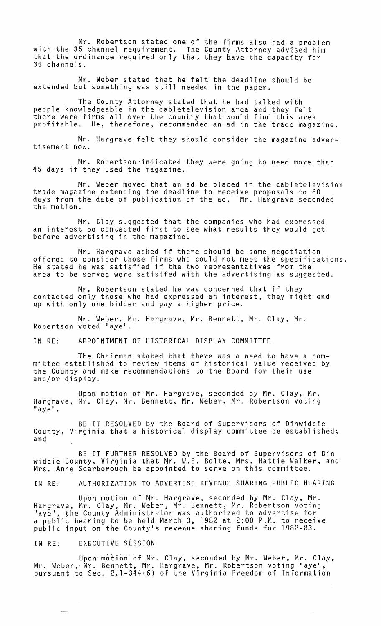Mr. Robertson stated one of the firms also had a problem with the 35 channel requirement. The County Attorney advised him that the ordinance required only that they have the capacity for 35 channels.

Mr. Weber stated that he felt the deadline should be extended but something was still needed in the paper.

The County Attorney stated that he had talked with people knowledgeable in the cabletelevision area and they felt there were firms allover the country that would find this area profitable. He, therefore, recommended an ad in the trade magazine.

Mr. Hargrave felt they should consider the magazine advertisement now.

Mr. Robertson indicated they were going to need more than 45 days if they used the magazine.

Mr. Weber moved that an ad be placed in the cabletelevision trade magazine extending the deadline to receive proposals to 60 days from the date of publication of the ad. Mr. Hargrave seconded the motion.

Mr. Clay suggested that the companies who had expressed an interest be contacted first to see what results they would get before advertising in the magazine.

Mr. Hargrave asked if there should be some negotiation offered to consider those firms who could not meet the specifications. He stated he was satisfied if the two representatives from the area to be served were satisifed with the advertising as suggested.

Mr. Robertson stated he was concerned that if they contacted only those who had expressed an interest, they might end up with only one bidder and pay a higher price.

Mr, Weber, Mr. Hargrave, Mr. Bennett, Mr. Clay, Mr. Robertson voted "aye".

IN RE: APPOINTMENT OF HISTORICAL DISPLAY COMMITTEE

The Chairman stated that there was a need to have a committee established to review items of historical value received by the County and make recommendations to the Board for their use and/or display.

Upon motion of Mr. Hargrave, seconded by Mr. Clay, Mr. Hargrave, Mr. Clay, Mr. Bennett, Mr. Weber, Mr. Robertson voting "aye",

BE IT RESOLVED by the Board of Supervisors of Dinwiddie County, Virginia that a historical display committee be established; and

BE IT FURTHER RESOLVED by the Board of Supervisors of Din widdie County, Virginia that Mr. W.E. Bolte, Mrs. Hattie Walker, and Mrs. Anne Scarborough be appointed to serve on this committee.

IN RE: AUTHORIZATION TO ADVERTISE REVENUE SHARING PUBLIC HEARING

Upon motion of Mr. Hargrave, seconded by Mr. Clay, Mr. Hargrave, Mr. Clay, Mr. Weber, Mr. Bennett, Mr. Robertson voting "aye", the County Administrator was authorized to advertise for a public hearing to be held March 3, 1982 at 2:00 P.M. to receive public input on the County·s revenue sharing funds for 1982-83.

#### IN RE: EXECUTIVE SESSION

 $\frac{1}{2}$ 

Uponmotion'of Mr. Clay, seconded by Mr. Weber, Mr. Clay, Mr. Weber,' Mr. Bennett, Mr. Hargrave, Mr. Robertson voting "aye", pursuant to Sec. 2.1-344(6) of the Virginia Freedom of Information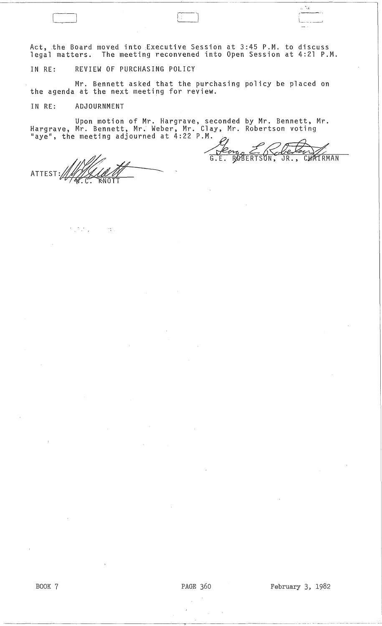Act, the Board moved into Executive Session at 3:45 P.M. to discuss legal matters. The meeting reconvened into Open Session at 4:21 P.M.

IN RE: REVIEW OF PURCHASING POLICY

Mr. Bennett asked that the purchasing policy be placed on the agenda at the next meeting for review.

IN RE: ADJOURNMENT

 $\epsilon_{\rm{max}}$ 

Upon motion of Mr. Hargrave, seconded by Mr. Bennett, Mr. Hargrave, Mr. Bennett, Mr. Weber, Mr. Clay, Mr. Robertson voting  $\mathcal{L}$  ay time me e ting  $\mathcal{L}$ 2 P.M.  $\mathcal{L}$   $\mathcal{L}$   $\mathcal{L}$ 

ATTEST:~\_~~ ------- .C. OTT

 $\sim 15\%$ 

BOOK 7 **PAGE 360** February 3, 1982

 $\frac{\partial \phi}{\partial \mathbf{z}_i}$ 

ROBERTSON, JR., CHATRMAN

 $\Gamma$